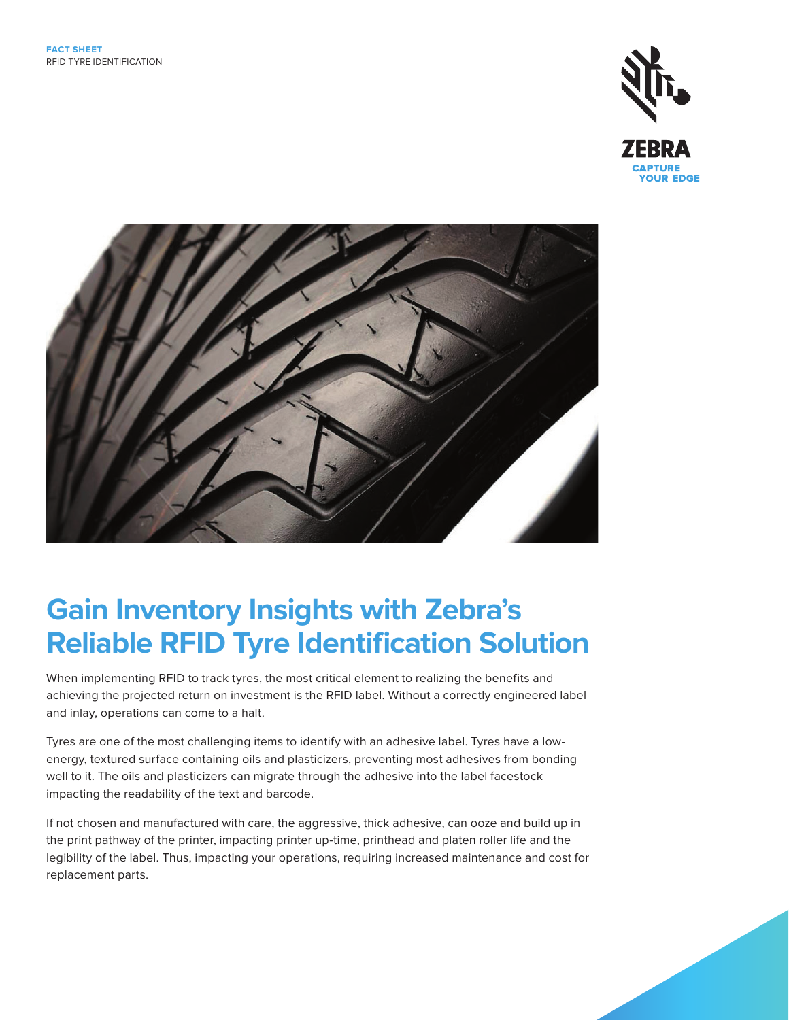



## **Gain Inventory Insights with Zebra's Reliable RFID Tyre Identification Solution**

When implementing RFID to track tyres, the most critical element to realizing the benefits and achieving the projected return on investment is the RFID label. Without a correctly engineered label and inlay, operations can come to a halt.

Tyres are one of the most challenging items to identify with an adhesive label. Tyres have a lowenergy, textured surface containing oils and plasticizers, preventing most adhesives from bonding well to it. The oils and plasticizers can migrate through the adhesive into the label facestock impacting the readability of the text and barcode.

If not chosen and manufactured with care, the aggressive, thick adhesive, can ooze and build up in the print pathway of the printer, impacting printer up-time, printhead and platen roller life and the legibility of the label. Thus, impacting your operations, requiring increased maintenance and cost for replacement parts.